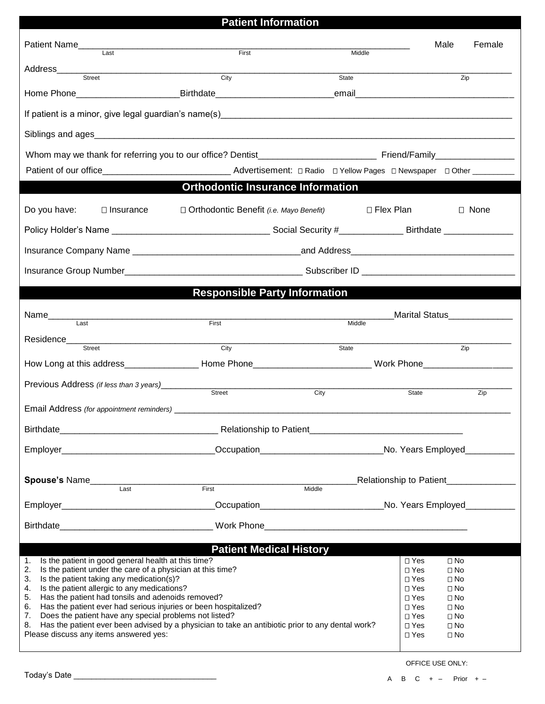## **Patient Information** Patient Name\_\_\_\_\_\_\_\_\_\_\_\_\_\_\_\_\_\_\_\_\_\_\_\_\_\_\_\_\_\_\_\_\_\_\_\_\_\_\_\_\_\_\_\_\_\_\_\_\_\_\_\_\_\_\_\_\_\_\_\_\_\_\_\_\_\_\_ Male Female Last **Example 2** Last **First** First **First** And *Example 2* Last Middle Address\_\_\_\_\_\_\_\_\_\_\_\_\_\_\_\_\_\_\_\_\_\_\_\_\_\_\_\_\_\_\_\_\_\_\_\_\_\_\_\_\_\_\_\_\_\_\_\_\_\_\_\_\_\_\_\_\_\_\_\_\_\_\_\_\_\_\_\_\_\_\_\_\_\_\_\_\_\_\_\_\_\_\_\_\_\_\_\_\_\_\_\_ Street City State Zip Home Phone **Example 2** and the Birthdate **Example 2** and the email If patient is a minor, give legal guardian's name(s) Siblings and ages Whom may we thank for referring you to our office? Dentist The Communication of Triend/Family Patient of our office\_\_\_\_\_\_\_\_\_\_\_\_\_\_\_\_\_\_\_\_\_\_\_\_\_\_\_\_\_\_\_\_\_\_ Advertisement:  $\Box$  Radio  $\Box$  Yellow Pages  $\Box$  Newspaper  $\Box$  Other \_\_\_ **Orthodontic Insurance Information** Do you have: □ Insurance □ Orthodontic Benefit *(i.e. Mayo Benefit)* □ Flex Plan □ None Policy Holder's Name \_\_\_\_\_\_\_\_\_\_\_\_\_\_\_\_\_\_\_\_\_\_\_\_\_\_\_\_\_\_\_\_ Social Security #\_\_\_\_\_\_\_\_\_\_\_\_\_ Birthdate \_\_\_\_\_\_\_\_\_\_\_\_\_\_ Insurance Company Name **and Exercise 2.1 and Address** Insurance Group Number **Number 2008** Subscriber ID **Subscriber ID**  $\sim$ **Responsible Party Information** Name\_\_\_\_\_\_\_\_\_\_\_\_\_\_\_\_\_\_\_\_\_\_\_\_\_\_\_\_\_\_\_\_\_\_\_\_\_\_\_\_\_\_\_\_\_\_\_\_\_\_\_\_\_\_\_\_\_\_\_\_\_\_\_\_\_\_\_\_\_\_Marital Status\_\_\_\_\_\_\_\_\_\_\_\_\_ Last **Example 2** and the control of the First **First** Middle 2 and the control of the Middle Residence\_\_\_\_\_\_\_\_\_\_\_\_\_\_\_\_\_\_\_\_\_\_\_\_\_\_\_\_\_\_\_\_\_\_\_\_\_\_\_\_\_\_\_\_\_\_\_\_\_\_\_\_\_\_\_\_\_\_\_\_\_\_\_\_\_\_\_\_\_\_\_\_\_\_\_\_\_\_\_\_\_\_\_\_\_\_\_\_\_\_ Street City State Zip How Long at this address The Second Home Phone Thome Thome Changes are a Work Phone Previous Address *(if less than 3 years)*\_\_\_\_\_\_\_\_\_\_\_\_\_\_\_\_\_\_\_\_\_\_\_\_\_\_\_\_\_\_\_\_\_\_\_\_\_\_\_\_\_\_\_\_\_\_\_\_\_\_\_\_\_\_\_\_\_\_\_\_\_\_\_\_\_\_\_\_\_\_\_ Street City City State State Zip Email Address *(for appointment reminders)* Birthdate\_\_\_\_\_\_\_\_\_\_\_\_\_\_\_\_\_\_\_\_\_\_\_\_\_\_\_\_\_\_\_\_ Relationship to Patient\_\_\_\_\_\_\_\_\_\_\_\_\_\_\_\_\_\_\_\_\_\_\_\_\_\_\_\_\_\_\_ Employer\_\_\_\_\_\_\_\_\_\_\_\_\_\_\_\_\_\_\_\_\_\_\_\_\_\_\_\_\_\_\_Occupation\_\_\_\_\_\_\_\_\_\_\_\_\_\_\_\_\_\_\_\_\_\_\_\_\_No. Years Employed\_\_\_\_\_\_\_\_\_\_ **Spouse's** Name\_\_\_\_\_\_\_\_\_\_\_\_\_\_\_\_\_\_\_\_\_\_\_\_\_\_\_\_\_\_\_\_\_\_\_\_\_\_\_\_\_\_\_\_\_\_\_\_\_\_\_\_\_\_Relationship to Patient\_\_\_\_\_\_\_\_\_\_\_\_\_\_ Last First Middle Employer\_\_\_\_\_\_\_\_\_\_\_\_\_\_\_\_\_\_\_\_\_\_\_\_\_\_\_\_\_\_\_Occupation\_\_\_\_\_\_\_\_\_\_\_\_\_\_\_\_\_\_\_\_\_\_\_\_\_No. Years Employed\_\_\_\_\_\_\_\_\_\_

Birthdate **Example 20** and the Monte Work Phone

**Patient Medical History**

|                                        | 1. Is the patient in good general health at this time?                                              | $\square$ Yes | $\square$ No |
|----------------------------------------|-----------------------------------------------------------------------------------------------------|---------------|--------------|
|                                        | 2. Is the patient under the care of a physician at this time?                                       | $\square$ Yes | $\square$ No |
|                                        | 3. Is the patient taking any medication(s)?                                                         | $\Box$ Yes    | $\square$ No |
|                                        | 4. Is the patient allergic to any medications?                                                      | $\Box$ Yes    | $\Box$ No    |
|                                        | 5. Has the patient had tonsils and adenoids removed?                                                | $\square$ Yes | $\square$ No |
|                                        | 6. Has the patient ever had serious injuries or been hospitalized?                                  | $\square$ Yes | $\square$ No |
| 7.                                     | Does the patient have any special problems not listed?                                              | $\sqcap$ Yes  | $\Box$ No    |
|                                        | 8. Has the patient ever been advised by a physician to take an antibiotic prior to any dental work? | $\Box$ Yes    | $\square$ No |
| Please discuss any items answered yes: |                                                                                                     |               | $\square$ No |
|                                        |                                                                                                     |               |              |